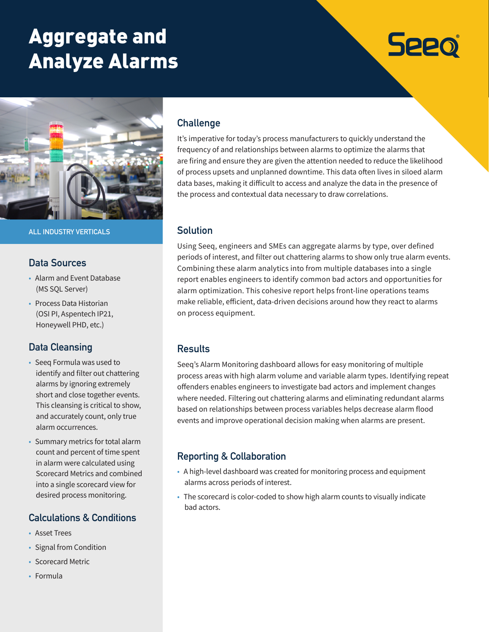# Aggregate and Analyze Alarms



**ALL INDUSTRY VERTICALS**

#### **Data Sources**

- Alarm and Event Database (MS SQL Server)
- Process Data Historian (OSI PI, Aspentech IP21, Honeywell PHD, etc.)

## **Data Cleansing**

- Seeq Formula was used to identify and filter out chattering alarms by ignoring extremely short and close together events. This cleansing is critical to show, and accurately count, only true alarm occurrences.
- Summary metrics for total alarm count and percent of time spent in alarm were calculated using Scorecard Metrics and combined into a single scorecard view for desired process monitoring.

## **Calculations & Conditions**

- Asset Trees
- Signal from Condition
- Scorecard Metric
- Formula

## **Challenge**

It's imperative for today's process manufacturers to quickly understand the frequency of and relationships between alarms to optimize the alarms that are firing and ensure they are given the attention needed to reduce the likelihood of process upsets and unplanned downtime. This data often lives in siloed alarm data bases, making it difficult to access and analyze the data in the presence of the process and contextual data necessary to draw correlations.

**Seeo** 

#### **Solution**

Using Seeq, engineers and SMEs can aggregate alarms by type, over defined periods of interest, and filter out chattering alarms to show only true alarm events. Combining these alarm analytics into from multiple databases into a single report enables engineers to identify common bad actors and opportunities for alarm optimization. This cohesive report helps front-line operations teams make reliable, efficient, data-driven decisions around how they react to alarms on process equipment.

## **Results**

Seeq's Alarm Monitoring dashboard allows for easy monitoring of multiple process areas with high alarm volume and variable alarm types. Identifying repeat offenders enables engineers to investigate bad actors and implement changes where needed. Filtering out chattering alarms and eliminating redundant alarms based on relationships between process variables helps decrease alarm flood events and improve operational decision making when alarms are present.

## **Reporting & Collaboration**

- A high-level dashboard was created for monitoring process and equipment alarms across periods of interest.
- The scorecard is color-coded to show high alarm counts to visually indicate bad actors.